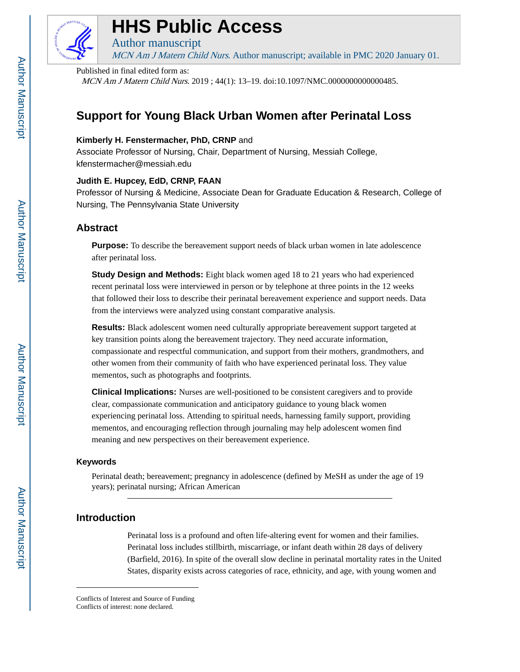

# **HHS Public Access**

Author manuscript MCN Am J Matern Child Nurs. Author manuscript; available in PMC 2020 January 01.

Published in final edited form as:

MCN Am J Matern Child Nurs. 2019 ; 44(1): 13–19. doi:10.1097/NMC.0000000000000485.

# **Support for Young Black Urban Women after Perinatal Loss**

# **Kimberly H. Fenstermacher, PhD, CRNP** and

Associate Professor of Nursing, Chair, Department of Nursing, Messiah College, kfenstermacher@messiah.edu

# **Judith E. Hupcey, EdD, CRNP, FAAN**

Professor of Nursing & Medicine, Associate Dean for Graduate Education & Research, College of Nursing, The Pennsylvania State University

# **Abstract**

**Purpose:** To describe the bereavement support needs of black urban women in late adolescence after perinatal loss.

**Study Design and Methods:** Eight black women aged 18 to 21 years who had experienced recent perinatal loss were interviewed in person or by telephone at three points in the 12 weeks that followed their loss to describe their perinatal bereavement experience and support needs. Data from the interviews were analyzed using constant comparative analysis.

**Results:** Black adolescent women need culturally appropriate bereavement support targeted at key transition points along the bereavement trajectory. They need accurate information, compassionate and respectful communication, and support from their mothers, grandmothers, and other women from their community of faith who have experienced perinatal loss. They value mementos, such as photographs and footprints.

**Clinical Implications:** Nurses are well-positioned to be consistent caregivers and to provide clear, compassionate communication and anticipatory guidance to young black women experiencing perinatal loss. Attending to spiritual needs, harnessing family support, providing mementos, and encouraging reflection through journaling may help adolescent women find meaning and new perspectives on their bereavement experience.

## **Keywords**

Perinatal death; bereavement; pregnancy in adolescence (defined by MeSH as under the age of 19 years); perinatal nursing; African American

# **Introduction**

Perinatal loss is a profound and often life-altering event for women and their families. Perinatal loss includes stillbirth, miscarriage, or infant death within 28 days of delivery (Barfield, 2016). In spite of the overall slow decline in perinatal mortality rates in the United States, disparity exists across categories of race, ethnicity, and age, with young women and

Conflicts of Interest and Source of Funding Conflicts of interest: none declared.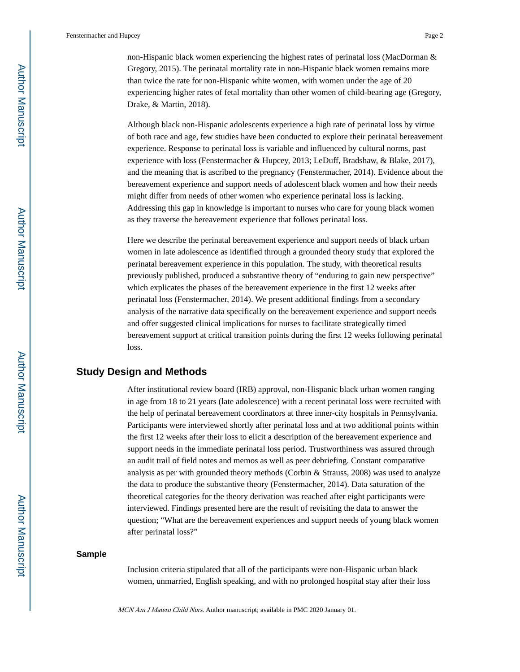non-Hispanic black women experiencing the highest rates of perinatal loss (MacDorman & Gregory, 2015). The perinatal mortality rate in non-Hispanic black women remains more than twice the rate for non-Hispanic white women, with women under the age of 20 experiencing higher rates of fetal mortality than other women of child-bearing age (Gregory, Drake, & Martin, 2018).

Although black non-Hispanic adolescents experience a high rate of perinatal loss by virtue of both race and age, few studies have been conducted to explore their perinatal bereavement experience. Response to perinatal loss is variable and influenced by cultural norms, past experience with loss (Fenstermacher & Hupcey, 2013; LeDuff, Bradshaw, & Blake, 2017), and the meaning that is ascribed to the pregnancy (Fenstermacher, 2014). Evidence about the bereavement experience and support needs of adolescent black women and how their needs might differ from needs of other women who experience perinatal loss is lacking. Addressing this gap in knowledge is important to nurses who care for young black women as they traverse the bereavement experience that follows perinatal loss.

Here we describe the perinatal bereavement experience and support needs of black urban women in late adolescence as identified through a grounded theory study that explored the perinatal bereavement experience in this population. The study, with theoretical results previously published, produced a substantive theory of "enduring to gain new perspective" which explicates the phases of the bereavement experience in the first 12 weeks after perinatal loss (Fenstermacher, 2014). We present additional findings from a secondary analysis of the narrative data specifically on the bereavement experience and support needs and offer suggested clinical implications for nurses to facilitate strategically timed bereavement support at critical transition points during the first 12 weeks following perinatal loss.

# **Study Design and Methods**

After institutional review board (IRB) approval, non-Hispanic black urban women ranging in age from 18 to 21 years (late adolescence) with a recent perinatal loss were recruited with the help of perinatal bereavement coordinators at three inner-city hospitals in Pennsylvania. Participants were interviewed shortly after perinatal loss and at two additional points within the first 12 weeks after their loss to elicit a description of the bereavement experience and support needs in the immediate perinatal loss period. Trustworthiness was assured through an audit trail of field notes and memos as well as peer debriefing. Constant comparative analysis as per with grounded theory methods (Corbin & Strauss, 2008) was used to analyze the data to produce the substantive theory (Fenstermacher, 2014). Data saturation of the theoretical categories for the theory derivation was reached after eight participants were interviewed. Findings presented here are the result of revisiting the data to answer the question; "What are the bereavement experiences and support needs of young black women after perinatal loss?"

#### **Sample**

Inclusion criteria stipulated that all of the participants were non-Hispanic urban black women, unmarried, English speaking, and with no prolonged hospital stay after their loss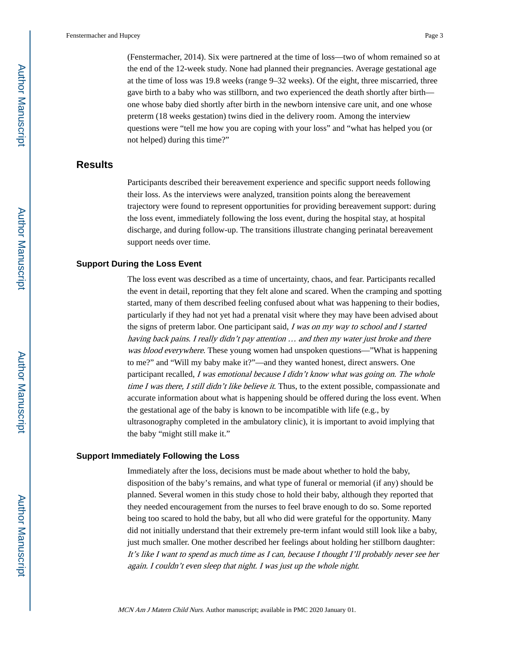(Fenstermacher, 2014). Six were partnered at the time of loss—two of whom remained so at the end of the 12-week study. None had planned their pregnancies. Average gestational age at the time of loss was 19.8 weeks (range 9–32 weeks). Of the eight, three miscarried, three gave birth to a baby who was stillborn, and two experienced the death shortly after birth one whose baby died shortly after birth in the newborn intensive care unit, and one whose preterm (18 weeks gestation) twins died in the delivery room. Among the interview questions were "tell me how you are coping with your loss" and "what has helped you (or not helped) during this time?"

# **Results**

Participants described their bereavement experience and specific support needs following their loss. As the interviews were analyzed, transition points along the bereavement trajectory were found to represent opportunities for providing bereavement support: during the loss event, immediately following the loss event, during the hospital stay, at hospital discharge, and during follow-up. The transitions illustrate changing perinatal bereavement support needs over time.

#### **Support During the Loss Event**

The loss event was described as a time of uncertainty, chaos, and fear. Participants recalled the event in detail, reporting that they felt alone and scared. When the cramping and spotting started, many of them described feeling confused about what was happening to their bodies, particularly if they had not yet had a prenatal visit where they may have been advised about the signs of preterm labor. One participant said, I was on my way to school and I started having back pains. I really didn't pay attention ... and then my water just broke and there was blood everywhere. These young women had unspoken questions—"What is happening to me?" and "Will my baby make it?"—and they wanted honest, direct answers. One participant recalled, I was emotional because I didn't know what was going on. The whole time I was there, I still didn't like believe it. Thus, to the extent possible, compassionate and accurate information about what is happening should be offered during the loss event. When the gestational age of the baby is known to be incompatible with life (e.g., by ultrasonography completed in the ambulatory clinic), it is important to avoid implying that the baby "might still make it."

#### **Support Immediately Following the Loss**

Immediately after the loss, decisions must be made about whether to hold the baby, disposition of the baby's remains, and what type of funeral or memorial (if any) should be planned. Several women in this study chose to hold their baby, although they reported that they needed encouragement from the nurses to feel brave enough to do so. Some reported being too scared to hold the baby, but all who did were grateful for the opportunity. Many did not initially understand that their extremely pre-term infant would still look like a baby, just much smaller. One mother described her feelings about holding her stillborn daughter: It's like I want to spend as much time as I can, because I thought I'll probably never see her again. I couldn't even sleep that night. I was just up the whole night.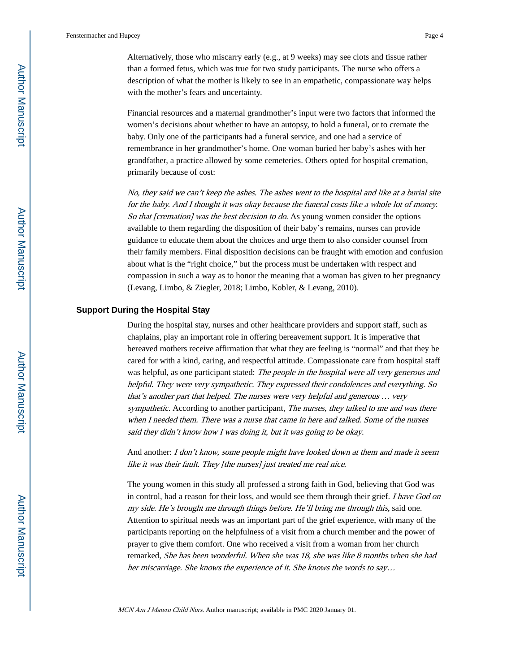Alternatively, those who miscarry early (e.g., at 9 weeks) may see clots and tissue rather than a formed fetus, which was true for two study participants. The nurse who offers a description of what the mother is likely to see in an empathetic, compassionate way helps with the mother's fears and uncertainty.

Financial resources and a maternal grandmother's input were two factors that informed the women's decisions about whether to have an autopsy, to hold a funeral, or to cremate the baby. Only one of the participants had a funeral service, and one had a service of remembrance in her grandmother's home. One woman buried her baby's ashes with her grandfather, a practice allowed by some cemeteries. Others opted for hospital cremation, primarily because of cost:

No, they said we can't keep the ashes. The ashes went to the hospital and like at a burial site for the baby. And I thought it was okay because the funeral costs like a whole lot of money. So that [cremation] was the best decision to do. As young women consider the options available to them regarding the disposition of their baby's remains, nurses can provide guidance to educate them about the choices and urge them to also consider counsel from their family members. Final disposition decisions can be fraught with emotion and confusion about what is the "right choice," but the process must be undertaken with respect and compassion in such a way as to honor the meaning that a woman has given to her pregnancy (Levang, Limbo, & Ziegler, 2018; Limbo, Kobler, & Levang, 2010).

#### **Support During the Hospital Stay**

During the hospital stay, nurses and other healthcare providers and support staff, such as chaplains, play an important role in offering bereavement support. It is imperative that bereaved mothers receive affirmation that what they are feeling is "normal" and that they be cared for with a kind, caring, and respectful attitude. Compassionate care from hospital staff was helpful, as one participant stated: The people in the hospital were all very generous and helpful. They were very sympathetic. They expressed their condolences and everything. So that's another part that helped. The nurses were very helpful and generous … very sympathetic. According to another participant, The nurses, they talked to me and was there when I needed them. There was a nurse that came in here and talked. Some of the nurses said they didn't know how I was doing it, but it was going to be okay.

And another: I don't know, some people might have looked down at them and made it seem like it was their fault. They [the nurses] just treated me real nice.

The young women in this study all professed a strong faith in God, believing that God was in control, had a reason for their loss, and would see them through their grief. *I have God on* my side. He's brought me through things before. He'll bring me through this, said one. Attention to spiritual needs was an important part of the grief experience, with many of the participants reporting on the helpfulness of a visit from a church member and the power of prayer to give them comfort. One who received a visit from a woman from her church remarked, She has been wonderful. When she was 18, she was like 8 months when she had her miscarriage. She knows the experience of it. She knows the words to say...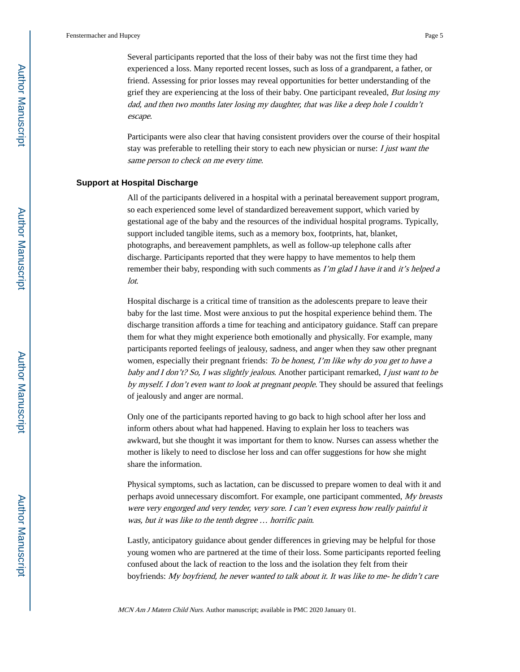Several participants reported that the loss of their baby was not the first time they had experienced a loss. Many reported recent losses, such as loss of a grandparent, a father, or friend. Assessing for prior losses may reveal opportunities for better understanding of the grief they are experiencing at the loss of their baby. One participant revealed, But losing my dad, and then two months later losing my daughter, that was like a deep hole I couldn't escape.

Participants were also clear that having consistent providers over the course of their hospital stay was preferable to retelling their story to each new physician or nurse: *I just want the* same person to check on me every time.

#### **Support at Hospital Discharge**

All of the participants delivered in a hospital with a perinatal bereavement support program, so each experienced some level of standardized bereavement support, which varied by gestational age of the baby and the resources of the individual hospital programs. Typically, support included tangible items, such as a memory box, footprints, hat, blanket, photographs, and bereavement pamphlets, as well as follow-up telephone calls after discharge. Participants reported that they were happy to have mementos to help them remember their baby, responding with such comments as I'm glad I have it and it's helped a lot.

Hospital discharge is a critical time of transition as the adolescents prepare to leave their baby for the last time. Most were anxious to put the hospital experience behind them. The discharge transition affords a time for teaching and anticipatory guidance. Staff can prepare them for what they might experience both emotionally and physically. For example, many participants reported feelings of jealousy, sadness, and anger when they saw other pregnant women, especially their pregnant friends: To be honest, I'm like why do you get to have a baby and I don't? So, I was slightly jealous. Another participant remarked, I just want to be by myself. I don't even want to look at pregnant people. They should be assured that feelings of jealously and anger are normal.

Only one of the participants reported having to go back to high school after her loss and inform others about what had happened. Having to explain her loss to teachers was awkward, but she thought it was important for them to know. Nurses can assess whether the mother is likely to need to disclose her loss and can offer suggestions for how she might share the information.

Physical symptoms, such as lactation, can be discussed to prepare women to deal with it and perhaps avoid unnecessary discomfort. For example, one participant commented, My breasts were very engorged and very tender, very sore. I can't even express how really painful it was, but it was like to the tenth degree … horrific pain.

Lastly, anticipatory guidance about gender differences in grieving may be helpful for those young women who are partnered at the time of their loss. Some participants reported feeling confused about the lack of reaction to the loss and the isolation they felt from their boyfriends: My boyfriend, he never wanted to talk about it. It was like to me- he didn't care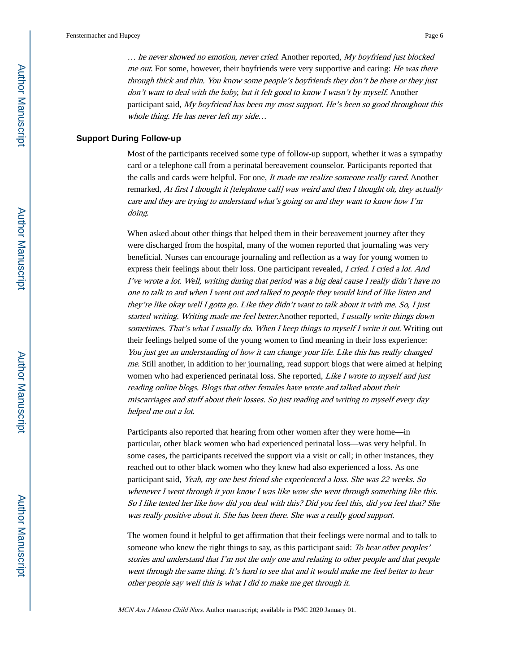… he never showed no emotion, never cried. Another reported, My boyfriend just blocked me out. For some, however, their boyfriends were very supportive and caring: He was there through thick and thin. You know some people's boyfriends they don't be there or they just don't want to deal with the baby, but it felt good to know I wasn't by myself. Another participant said, My boyfriend has been my most support. He's been so good throughout this whole thing. He has never left my side...

#### **Support During Follow-up**

Most of the participants received some type of follow-up support, whether it was a sympathy card or a telephone call from a perinatal bereavement counselor. Participants reported that the calls and cards were helpful. For one, It made me realize someone really cared. Another remarked, At first I thought it [telephone call] was weird and then I thought oh, they actually care and they are trying to understand what's going on and they want to know how I'm doing.

When asked about other things that helped them in their bereavement journey after they were discharged from the hospital, many of the women reported that journaling was very beneficial. Nurses can encourage journaling and reflection as a way for young women to express their feelings about their loss. One participant revealed, *I cried. I cried a lot. And* I've wrote a lot. Well, writing during that period was a big deal cause I really didn't have no one to talk to and when I went out and talked to people they would kind of like listen and they're like okay well I gotta go. Like they didn't want to talk about it with me. So, I just started writing. Writing made me feel better.Another reported, I usually write things down sometimes. That's what I usually do. When I keep things to myself I write it out. Writing out their feelings helped some of the young women to find meaning in their loss experience: You just get an understanding of how it can change your life. Like this has really changed me. Still another, in addition to her journaling, read support blogs that were aimed at helping women who had experienced perinatal loss. She reported, Like I wrote to myself and just reading online blogs. Blogs that other females have wrote and talked about their miscarriages and stuff about their losses. So just reading and writing to myself every day helped me out a lot.

Participants also reported that hearing from other women after they were home—in particular, other black women who had experienced perinatal loss—was very helpful. In some cases, the participants received the support via a visit or call; in other instances, they reached out to other black women who they knew had also experienced a loss. As one participant said, Yeah, my one best friend she experienced a loss. She was 22 weeks. So whenever I went through it you know I was like wow she went through something like this. So I like texted her like how did you deal with this? Did you feel this, did you feel that? She was really positive about it. She has been there. She was a really good support.

The women found it helpful to get affirmation that their feelings were normal and to talk to someone who knew the right things to say, as this participant said: To hear other peoples' stories and understand that I'm not the only one and relating to other people and that people went through the same thing. It's hard to see that and it would make me feel better to hear other people say well this is what I did to make me get through it.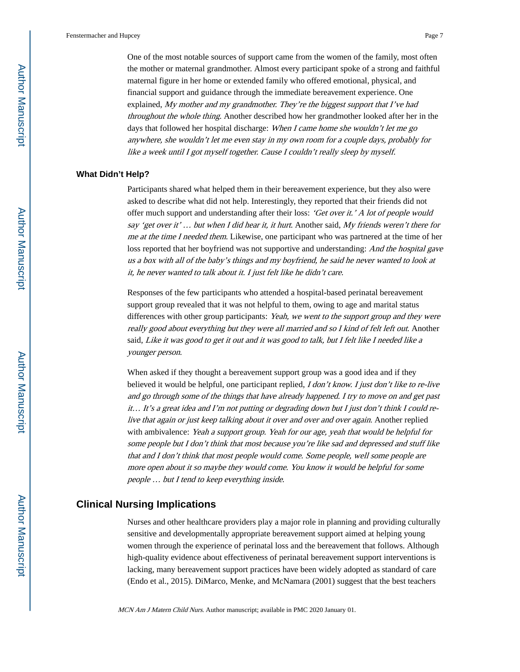One of the most notable sources of support came from the women of the family, most often the mother or maternal grandmother. Almost every participant spoke of a strong and faithful maternal figure in her home or extended family who offered emotional, physical, and financial support and guidance through the immediate bereavement experience. One explained, My mother and my grandmother. They're the biggest support that I've had throughout the whole thing. Another described how her grandmother looked after her in the days that followed her hospital discharge: When I came home she wouldn't let me go anywhere, she wouldn't let me even stay in my own room for a couple days, probably for like a week until I got myself together. Cause I couldn't really sleep by myself.

#### **What Didn't Help?**

Participants shared what helped them in their bereavement experience, but they also were asked to describe what did not help. Interestingly, they reported that their friends did not offer much support and understanding after their loss: 'Get over it.' A lot of people would say 'get over it' … but when I did hear it, it hurt. Another said, My friends weren't there for me at the time I needed them. Likewise, one participant who was partnered at the time of her loss reported that her boyfriend was not supportive and understanding: And the hospital gave us a box with all of the baby's things and my boyfriend, he said he never wanted to look at it, he never wanted to talk about it. I just felt like he didn't care.

Responses of the few participants who attended a hospital-based perinatal bereavement support group revealed that it was not helpful to them, owing to age and marital status differences with other group participants: Yeah, we went to the support group and they were really good about everything but they were all married and so I kind of felt left out. Another said, Like it was good to get it out and it was good to talk, but I felt like I needed like a younger person.

When asked if they thought a bereavement support group was a good idea and if they believed it would be helpful, one participant replied, I don't know. I just don't like to re-live and go through some of the things that have already happened. I try to move on and get past it… It's a great idea and I'm not putting or degrading down but I just don't think I could relive that again or just keep talking about it over and over and over again. Another replied with ambivalence: Yeah a support group. Yeah for our age, yeah that would be helpful for some people but I don't think that most because you're like sad and depressed and stuff like that and I don't think that most people would come. Some people, well some people are more open about it so maybe they would come. You know it would be helpful for some people … but I tend to keep everything inside.

# **Clinical Nursing Implications**

Nurses and other healthcare providers play a major role in planning and providing culturally sensitive and developmentally appropriate bereavement support aimed at helping young women through the experience of perinatal loss and the bereavement that follows. Although high-quality evidence about effectiveness of perinatal bereavement support interventions is lacking, many bereavement support practices have been widely adopted as standard of care (Endo et al., 2015). DiMarco, Menke, and McNamara (2001) suggest that the best teachers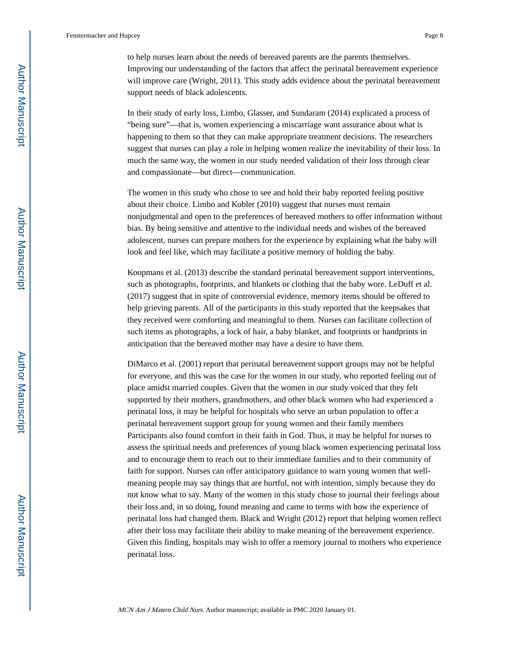to help nurses learn about the needs of bereaved parents are the parents themselves. Improving our understanding of the factors that affect the perinatal bereavement experience will improve care (Wright, 2011). This study adds evidence about the perinatal bereavement support needs of black adolescents.

In their study of early loss, Limbo, Glasser, and Sundaram (2014) explicated a process of "being sure"—that is, women experiencing a miscarriage want assurance about what is happening to them so that they can make appropriate treatment decisions. The researchers suggest that nurses can play a role in helping women realize the inevitability of their loss. In much the same way, the women in our study needed validation of their loss through clear and compassionate—but direct—communication.

The women in this study who chose to see and hold their baby reported feeling positive about their choice. Limbo and Kobler (2010) suggest that nurses must remain nonjudgmental and open to the preferences of bereaved mothers to offer information without bias. By being sensitive and attentive to the individual needs and wishes of the bereaved adolescent, nurses can prepare mothers for the experience by explaining what the baby will look and feel like, which may facilitate a positive memory of holding the baby.

Koopmans et al. (2013) describe the standard perinatal bereavement support interventions, such as photographs, footprints, and blankets or clothing that the baby wore. LeDuff et al. (2017) suggest that in spite of controversial evidence, memory items should be offered to help grieving parents. All of the participants in this study reported that the keepsakes that they received were comforting and meaningful to them. Nurses can facilitate collection of such items as photographs, a lock of hair, a baby blanket, and footprints or handprints in anticipation that the bereaved mother may have a desire to have them.

DiMarco et al. (2001) report that perinatal bereavement support groups may not be helpful for everyone, and this was the case for the women in our study, who reported feeling out of place amidst married couples. Given that the women in our study voiced that they felt supported by their mothers, grandmothers, and other black women who had experienced a perinatal loss, it may be helpful for hospitals who serve an urban population to offer a perinatal bereavement support group for young women and their family members Participants also found comfort in their faith in God. Thus, it may be helpful for nurses to assess the spiritual needs and preferences of young black women experiencing perinatal loss and to encourage them to reach out to their immediate families and to their community of faith for support. Nurses can offer anticipatory guidance to warn young women that wellmeaning people may say things that are hurtful, not with intention, simply because they do not know what to say. Many of the women in this study chose to journal their feelings about their loss and, in so doing, found meaning and came to terms with how the experience of perinatal loss had changed them. Black and Wright (2012) report that helping women reflect after their loss may facilitate their ability to make meaning of the bereavement experience. Given this finding, hospitals may wish to offer a memory journal to mothers who experience perinatal loss.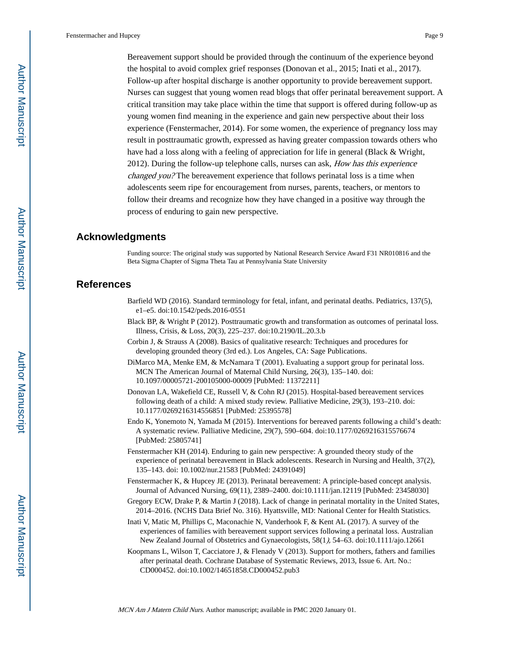Bereavement support should be provided through the continuum of the experience beyond the hospital to avoid complex grief responses (Donovan et al., 2015; Inati et al., 2017). Follow-up after hospital discharge is another opportunity to provide bereavement support. Nurses can suggest that young women read blogs that offer perinatal bereavement support. A critical transition may take place within the time that support is offered during follow-up as young women find meaning in the experience and gain new perspective about their loss experience (Fenstermacher, 2014). For some women, the experience of pregnancy loss may result in posttraumatic growth, expressed as having greater compassion towards others who have had a loss along with a feeling of appreciation for life in general (Black & Wright, 2012). During the follow-up telephone calls, nurses can ask, How has this experience changed you? The bereavement experience that follows perinatal loss is a time when adolescents seem ripe for encouragement from nurses, parents, teachers, or mentors to follow their dreams and recognize how they have changed in a positive way through the process of enduring to gain new perspective.

# **Acknowledgments**

Funding source: The original study was supported by National Research Service Award F31 NR010816 and the Beta Sigma Chapter of Sigma Theta Tau at Pennsylvania State University

### **References**

- Barfield WD (2016). Standard terminology for fetal, infant, and perinatal deaths. Pediatrics, 137(5), e1–e5. doi:10.1542/peds.2016-0551
- Black BP, & Wright P (2012). Posttraumatic growth and transformation as outcomes of perinatal loss. Illness, Crisis, & Loss, 20(3), 225–237. doi:10.2190/IL.20.3.b
- Corbin J, & Strauss A (2008). Basics of qualitative research: Techniques and procedures for developing grounded theory (3rd ed.). Los Angeles, CA: Sage Publications.
- DiMarco MA, Menke EM, & McNamara T (2001). Evaluating a support group for perinatal loss. MCN The American Journal of Maternal Child Nursing, 26(3), 135–140. doi: 10.1097/00005721-200105000-00009 [PubMed: 11372211]
- Donovan LA, Wakefield CE, Russell V, & Cohn RJ (2015). Hospital-based bereavement services following death of a child: A mixed study review. Palliative Medicine, 29(3), 193–210. doi: 10.1177/0269216314556851 [PubMed: 25395578]
- Endo K, Yonemoto N, Yamada M (2015). Interventions for bereaved parents following a child's death: A systematic review. Palliative Medicine, 29(7), 590–604. doi:10.1177/0269216315576674 [PubMed: 25805741]
- Fenstermacher KH (2014). Enduring to gain new perspective: A grounded theory study of the experience of perinatal bereavement in Black adolescents. Research in Nursing and Health, 37(2), 135–143. doi: 10.1002/nur.21583 [PubMed: 24391049]
- Fenstermacher K, & Hupcey JE (2013). Perinatal bereavement: A principle-based concept analysis. Journal of Advanced Nursing, 69(11), 2389–2400. doi:10.1111/jan.12119 [PubMed: 23458030]
- Gregory ECW, Drake P, & Martin J (2018). Lack of change in perinatal mortality in the United States, 2014–2016. (NCHS Data Brief No. 316). Hyattsville, MD: National Center for Health Statistics.
- Inati V, Matic M, Phillips C, Maconachie N, Vanderhook F, & Kent AL (2017). A survey of the experiences of families with bereavement support services following a perinatal loss. Australian New Zealand Journal of Obstetrics and Gynaecologists, 58(1), 54–63. doi:10.1111/ajo.12661
- Koopmans L, Wilson T, Cacciatore J, & Flenady V (2013). Support for mothers, fathers and families after perinatal death. Cochrane Database of Systematic Reviews, 2013, Issue 6. Art. No.: CD000452. doi:10.1002/14651858.CD000452.pub3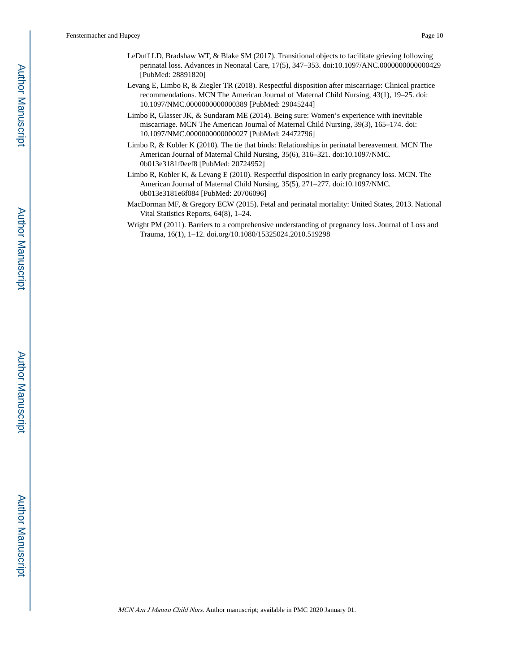- LeDuff LD, Bradshaw WT, & Blake SM (2017). Transitional objects to facilitate grieving following perinatal loss. Advances in Neonatal Care, 17(5), 347–353. doi:10.1097/ANC.0000000000000429 [PubMed: 28891820]
- Levang E, Limbo R, & Ziegler TR (2018). Respectful disposition after miscarriage: Clinical practice recommendations. MCN The American Journal of Maternal Child Nursing, 43(1), 19–25. doi: 10.1097/NMC.0000000000000389 [PubMed: 29045244]
- Limbo R, Glasser JK, & Sundaram ME (2014). Being sure: Women's experience with inevitable miscarriage. MCN The American Journal of Maternal Child Nursing, 39(3), 165–174. doi: 10.1097/NMC.0000000000000027 [PubMed: 24472796]
- Limbo R, & Kobler K (2010). The tie that binds: Relationships in perinatal bereavement. MCN The American Journal of Maternal Child Nursing, 35(6), 316–321. doi:10.1097/NMC. 0b013e3181f0eef8 [PubMed: 20724952]
- Limbo R, Kobler K, & Levang E (2010). Respectful disposition in early pregnancy loss. MCN. The American Journal of Maternal Child Nursing, 35(5), 271–277. doi:10.1097/NMC. 0b013e3181e6f084 [PubMed: 20706096]
- MacDorman MF, & Gregory ECW (2015). Fetal and perinatal mortality: United States, 2013. National Vital Statistics Reports, 64(8), 1–24.
- Wright PM (2011). Barriers to a comprehensive understanding of pregnancy loss. Journal of Loss and Trauma, 16(1), 1–12. doi.org/10.1080/15325024.2010.519298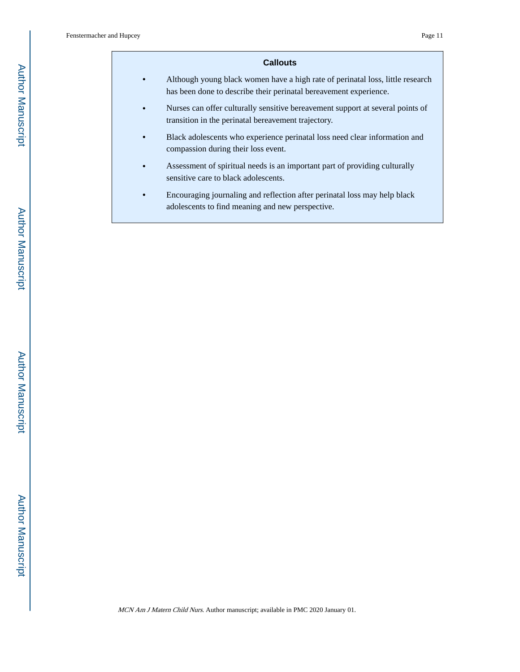# **Callouts**

- **•** Although young black women have a high rate of perinatal loss, little research has been done to describe their perinatal bereavement experience.
- **•** Nurses can offer culturally sensitive bereavement support at several points of transition in the perinatal bereavement trajectory.
- **•** Black adolescents who experience perinatal loss need clear information and compassion during their loss event.
- **•** Assessment of spiritual needs is an important part of providing culturally sensitive care to black adolescents.
- **•** Encouraging journaling and reflection after perinatal loss may help black adolescents to find meaning and new perspective.